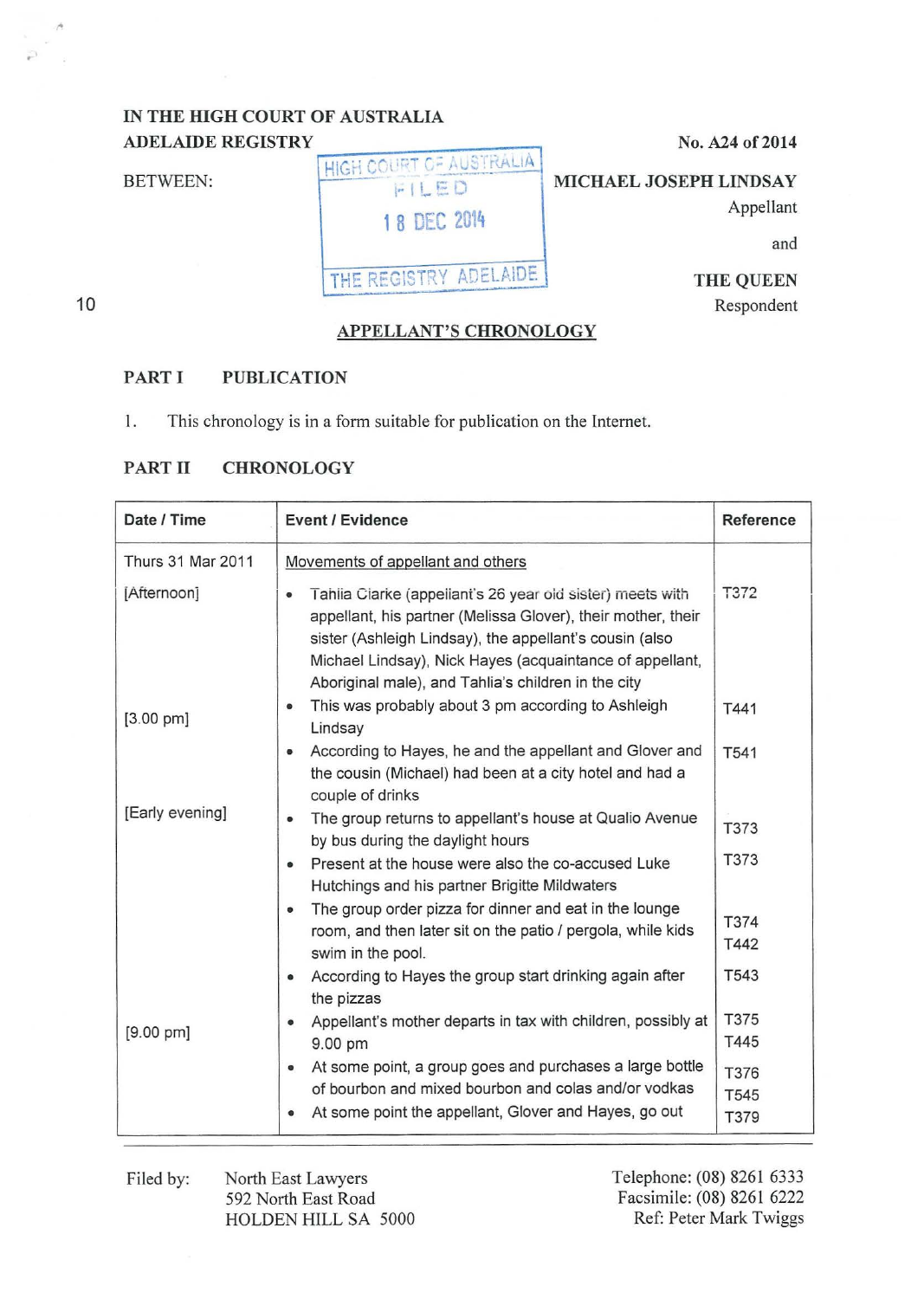## IN THE HIGH COURT OF AUSTRALIA ADELAIDE REGISTRY No. A24 of 2014

BETWEEN:

# HIGH COURT OF AUSTRALIA I COURT OF AUSTH  $FILED$ 1 8 DEC 2014

THE REGISTRY ADELAIDE

MICHAEL JOSEPH LINDSAY

Appellant

and

THE QUEEN Respondent

## APPELLANT'S CHRONOLOGY

#### PART I PUBLICATION

1. This chronology is in a form suitable for publication on the Internet.

#### PART II CHRONOLOGY

| Date / Time         | <b>Event / Evidence</b>                                                                                                                                                                                                                                                                                              | Reference            |
|---------------------|----------------------------------------------------------------------------------------------------------------------------------------------------------------------------------------------------------------------------------------------------------------------------------------------------------------------|----------------------|
| Thurs 31 Mar 2011   | Movements of appellant and others                                                                                                                                                                                                                                                                                    |                      |
| [Afternoon]         | Tahlia Clarke (appellant's 26 year old sister) meets with<br>$\bullet$<br>appellant, his partner (Melissa Glover), their mother, their<br>sister (Ashleigh Lindsay), the appellant's cousin (also<br>Michael Lindsay), Nick Hayes (acquaintance of appellant,<br>Aboriginal male), and Tahlia's children in the city | T372                 |
| $[3.00 \text{ pm}]$ | This was probably about 3 pm according to Ashleigh<br>$\bullet$<br>Lindsay                                                                                                                                                                                                                                           | T441                 |
|                     | According to Hayes, he and the appellant and Glover and<br>$\bullet$<br>the cousin (Michael) had been at a city hotel and had a<br>couple of drinks                                                                                                                                                                  | T541                 |
| [Early evening]     | The group returns to appellant's house at Qualio Avenue<br>۰<br>by bus during the daylight hours                                                                                                                                                                                                                     | T373                 |
|                     | Present at the house were also the co-accused Luke<br>$\bullet$<br>Hutchings and his partner Brigitte Mildwaters                                                                                                                                                                                                     | T373                 |
|                     | The group order pizza for dinner and eat in the lounge<br>$\bullet$<br>room, and then later sit on the patio / pergola, while kids<br>swim in the pool.                                                                                                                                                              | T374<br>T442         |
|                     | According to Hayes the group start drinking again after<br>$\bullet$<br>the pizzas                                                                                                                                                                                                                                   | T543                 |
| $[9.00 \text{ pm}]$ | Appellant's mother departs in tax with children, possibly at<br>$\bullet$<br>9.00 pm                                                                                                                                                                                                                                 | T375<br>T445         |
|                     | At some point, a group goes and purchases a large bottle<br>$\bullet$<br>of bourbon and mixed bourbon and colas and/or vodkas<br>At some point the appellant, Glover and Hayes, go out                                                                                                                               | T376<br>T545<br>T379 |

Filed by: North East Lawyers 592 North East Road HOLDEN HILL SA 5000 Telephone: (08) 8261 6333 Facsimile: (08) 8261 6222 Ref: Peter Mark Twiggs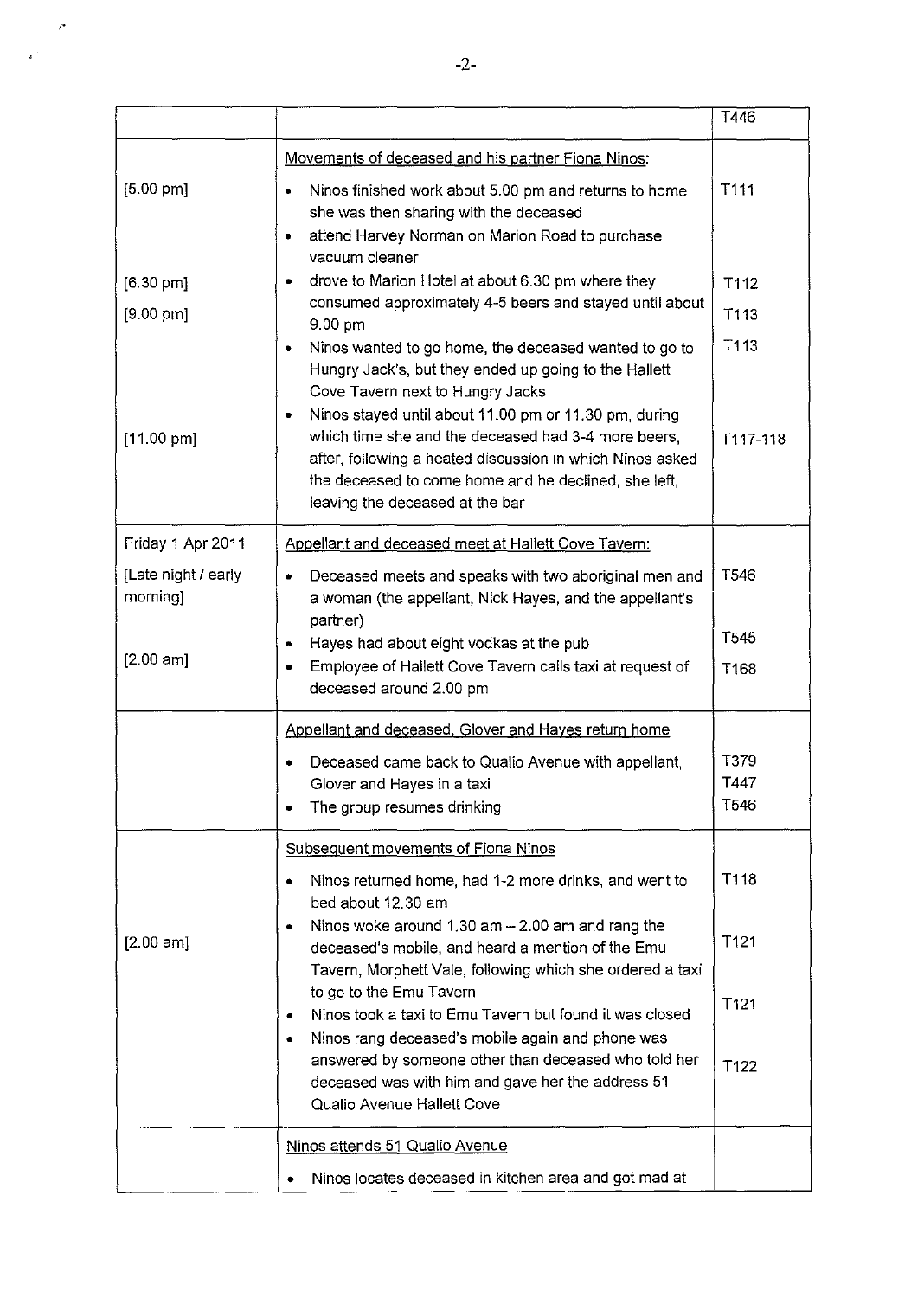|                                 |                                                                                                                                                                                                                                                                                                                                                                                                                                              | T446             |
|---------------------------------|----------------------------------------------------------------------------------------------------------------------------------------------------------------------------------------------------------------------------------------------------------------------------------------------------------------------------------------------------------------------------------------------------------------------------------------------|------------------|
|                                 | Movements of deceased and his partner Fiona Ninos:                                                                                                                                                                                                                                                                                                                                                                                           |                  |
| $[5.00 \text{ pm}]$             | Ninos finished work about 5.00 pm and returns to home<br>$\bullet$<br>she was then sharing with the deceased<br>attend Harvey Norman on Marion Road to purchase<br>$\bullet$<br>vacuum cleaner                                                                                                                                                                                                                                               | T111             |
| $[6.30 \text{ pm}]$             | drove to Marion Hotel at about 6.30 pm where they<br>$\bullet$                                                                                                                                                                                                                                                                                                                                                                               | T112             |
| $[9.00 \text{ pm}]$             | consumed approximately 4-5 beers and stayed until about<br>9.00 pm                                                                                                                                                                                                                                                                                                                                                                           | T113             |
| $[11.00 \text{ pm}]$            | Ninos wanted to go home, the deceased wanted to go to<br>۰<br>Hungry Jack's, but they ended up going to the Hallett<br>Cove Tavern next to Hungry Jacks<br>Ninos stayed until about 11.00 pm or 11.30 pm, during<br>$\bullet$<br>which time she and the deceased had 3-4 more beers,<br>after, following a heated discussion in which Ninos asked<br>the deceased to come home and he declined, she left,<br>leaving the deceased at the bar | T113<br>T117-118 |
| Friday 1 Apr 2011               | Appellant and deceased meet at Hallett Cove Tavern:                                                                                                                                                                                                                                                                                                                                                                                          |                  |
| [Late night / early<br>morning] | Deceased meets and speaks with two aboriginal men and<br>$\bullet$<br>a woman (the appellant, Nick Hayes, and the appellant's<br>partner)                                                                                                                                                                                                                                                                                                    | T546             |
|                                 | Hayes had about eight vodkas at the pub<br>۰                                                                                                                                                                                                                                                                                                                                                                                                 | T545             |
| [2.00 am]                       | Employee of Hallett Cove Tavern calls taxi at request of<br>٠<br>deceased around 2.00 pm                                                                                                                                                                                                                                                                                                                                                     | T <sub>168</sub> |
|                                 | Appellant and deceased, Glover and Hayes return home                                                                                                                                                                                                                                                                                                                                                                                         |                  |
|                                 | Deceased came back to Qualio Avenue with appellant,                                                                                                                                                                                                                                                                                                                                                                                          | T379             |
|                                 | Glover and Hayes in a taxi                                                                                                                                                                                                                                                                                                                                                                                                                   | T447<br>T546     |
|                                 | The group resumes drinking<br>٠                                                                                                                                                                                                                                                                                                                                                                                                              |                  |
|                                 | Subsequent movements of Fiona Ninos                                                                                                                                                                                                                                                                                                                                                                                                          |                  |
|                                 | Ninos returned home, had 1-2 more drinks, and went to<br>$\bullet$<br>bed about 12,30 am<br>Ninos woke around $1.30$ am $- 2.00$ am and rang the<br>$\bullet$                                                                                                                                                                                                                                                                                | T118             |
| $[2.00$ am]                     | deceased's mobile, and heard a mention of the Emu<br>Tavern, Morphett Vale, following which she ordered a taxi                                                                                                                                                                                                                                                                                                                               | T121             |
|                                 | to go to the Emu Tavern<br>Ninos took a taxi to Emu Tavern but found it was closed<br>٠<br>Ninos rang deceased's mobile again and phone was<br>٠                                                                                                                                                                                                                                                                                             | T <sub>121</sub> |
|                                 | answered by someone other than deceased who told her<br>deceased was with him and gave her the address 51<br>Qualio Avenue Hallett Cove                                                                                                                                                                                                                                                                                                      | T <sub>122</sub> |
|                                 | Ninos attends 51 Qualio Avenue                                                                                                                                                                                                                                                                                                                                                                                                               |                  |
|                                 | Ninos locates deceased in kitchen area and got mad at                                                                                                                                                                                                                                                                                                                                                                                        |                  |

,.

 $\mathbf{r}$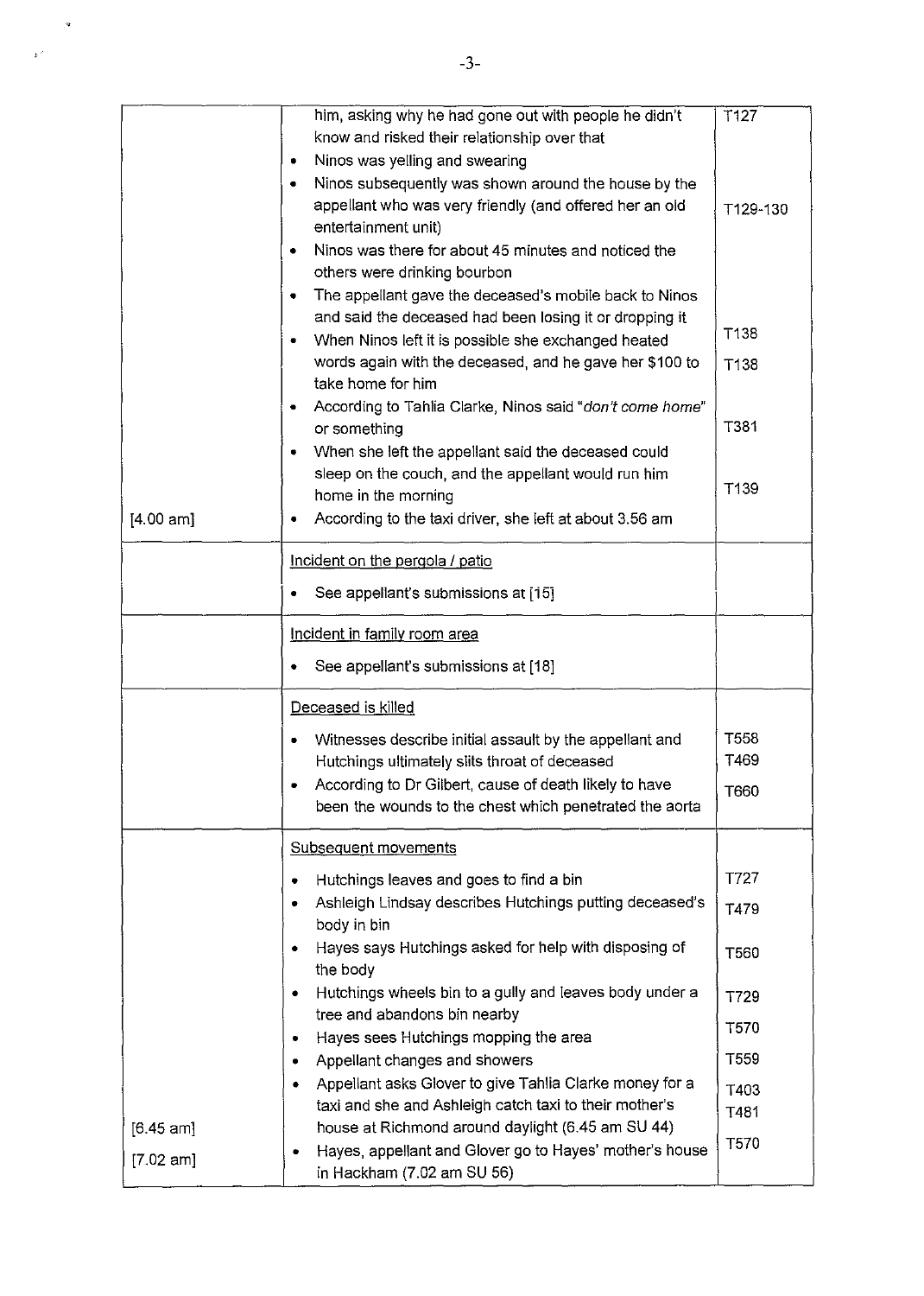|                                    | him, asking why he had gone out with people he didn't<br>know and risked their relationship over that<br>Ninos was yelling and swearing<br>٠<br>Ninos subsequently was shown around the house by the<br>٠<br>appellant who was very friendly (and offered her an old<br>entertainment unit)<br>Ninos was there for about 45 minutes and noticed the<br>٠<br>others were drinking bourbon | T127<br>T129-130                    |
|------------------------------------|------------------------------------------------------------------------------------------------------------------------------------------------------------------------------------------------------------------------------------------------------------------------------------------------------------------------------------------------------------------------------------------|-------------------------------------|
|                                    | The appellant gave the deceased's mobile back to Ninos<br>٠<br>and said the deceased had been losing it or dropping it<br>When Ninos left it is possible she exchanged heated<br>words again with the deceased, and he gave her \$100 to<br>take home for him                                                                                                                            | T <sub>138</sub><br>T138            |
| [4.00 am]                          | According to Tahlia Clarke, Ninos said "don't come home"<br>or something<br>When she left the appellant said the deceased could<br>sleep on the couch, and the appellant would run him<br>home in the morning<br>According to the taxi driver, she left at about 3.56 am                                                                                                                 | T381<br>T139                        |
|                                    | Incident on the pergola / patio<br>See appellant's submissions at [15]                                                                                                                                                                                                                                                                                                                   |                                     |
|                                    | Incident in family room area<br>See appellant's submissions at [18]                                                                                                                                                                                                                                                                                                                      |                                     |
|                                    | Deceased is killed<br>Witnesses describe initial assault by the appellant and<br>Hutchings ultimately slits throat of deceased<br>According to Dr Gilbert, cause of death likely to have<br>been the wounds to the chest which penetrated the aorta                                                                                                                                      | T558<br>T469<br>T660                |
|                                    | Subsequent movements<br>Hutchings leaves and goes to find a bin<br>٠<br>Ashleigh Lindsay describes Hutchings putting deceased's<br>body in bin<br>Hayes says Hutchings asked for help with disposing of<br>the body                                                                                                                                                                      | T727<br>T479<br><b>T560</b>         |
|                                    | Hutchings wheels bin to a gully and leaves body under a<br>tree and abandons bin nearby<br>Hayes sees Hutchings mopping the area<br>Appellant changes and showers<br>Appellant asks Glover to give Tahlia Clarke money for a                                                                                                                                                             | T729<br><b>T570</b><br>T559<br>T403 |
| $[6.45$ am]<br>$[7.02 \text{ am}]$ | taxi and she and Ashleigh catch taxi to their mother's<br>house at Richmond around daylight (6.45 am SU 44)<br>Hayes, appellant and Glover go to Hayes' mother's house<br>in Hackham (7.02 am SU 56)                                                                                                                                                                                     | T481<br><b>T570</b>                 |